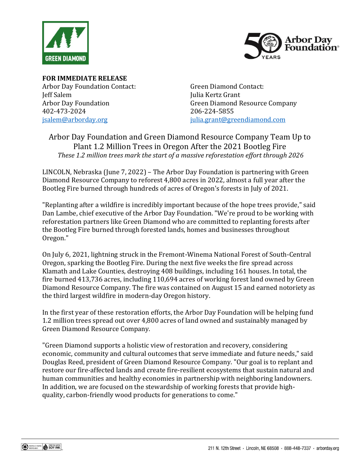



**FOR IMMEDIATE RELEASE** Arbor Day Foundation Contact: Jeff Salem Arbor Day Foundation 402-473-2024 [jsalem@arborday.org](mailto:jsalem@arborday.org)

Green Diamond Contact: Julia Kertz Grant Green Diamond Resource Company 206-224-5855 [julia.grant@greendiamond.com](mailto:julia.grant@greendiamond.com)

## Arbor Day Foundation and Green Diamond Resource Company Team Up to Plant 1.2 Million Trees in Oregon After the 2021 Bootleg Fire *These 1.2 million trees mark the start of a massive reforestation effort through 2026*

LINCOLN, Nebraska (June 7, 2022) – The Arbor Day Foundation is partnering with Green Diamond Resource Company to reforest 4,800 acres in 2022, almost a full year after the Bootleg Fire burned through hundreds of acres of Oregon's forests in July of 2021.

"Replanting after a wildfire is incredibly important because of the hope trees provide," said Dan Lambe, chief executive of the Arbor Day Foundation. "We're proud to be working with reforestation partners like Green Diamond who are committed to replanting forests after the Bootleg Fire burned through forested lands, homes and businesses throughout Oregon."

On July 6, 2021, lightning struck in the Fremont-Winema National Forest of South-Central Oregon, sparking the Bootleg Fire. During the next five weeks the fire spread across Klamath and Lake Counties, destroying 408 buildings, including 161 houses. In total, the fire burned 413,736 acres, including 110,694 acres of working forest land owned by Green Diamond Resource Company. The fire was contained on August 15 and earned notoriety as the third largest wildfire in modern-day Oregon history.

In the first year of these restoration efforts, the Arbor Day Foundation will be helping fund 1.2 million trees spread out over 4,800 acres of land owned and sustainably managed by Green Diamond Resource Company.

"Green Diamond supports a holistic view of restoration and recovery, considering economic, community and cultural outcomes that serve immediate and future needs," said Douglas Reed, president of Green Diamond Resource Company. "Our goal is to replant and restore our fire-affected lands and create fire-resilient ecosystems that sustain natural and human communities and healthy economies in partnership with neighboring landowners. In addition, we are focused on the stewardship of working forests that provide highquality, carbon-friendly wood products for generations to come."